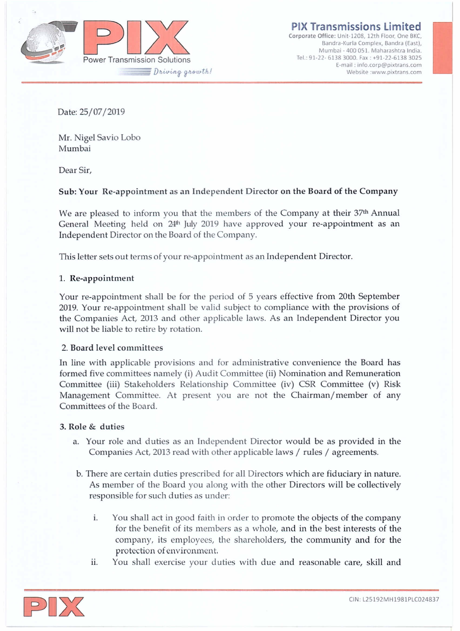

**PIX Transmissions limited**

**Corporate Office: Unit-120B, 12th Floor, One BKC, Bandra-Kurla Complex, Bandra (East), Mumbai· 400 051. Maharashtra India.** Tel.: 91-22- 6138 3000, Fax: +91-22-6138 3025 **E-mail: [info.corp@pixtrans.com](mailto:info.corp@pixtrans.com) Website [:www.pixtrans.com](http://:www.pixtrans.com)**

Date: 25/07/2019

Mr. Nigel Savio Lobo Mumbai

Dear Sir,

## Sub: Your Re-appointment as an Independent Director on the Board of the Company

We are pleased to inform you that the members of the Company at their 37<sup>th</sup> Annual General Meeting held on  $24<sup>th</sup>$  July 2019 have approved your re-appointment as an Independent Director on the Board of the Company.

This letter sets out terms of your re-appointment as an Independent Director.

### 1. Re-appointment

Your re-appointment shall be for the period of 5 years effective from 20th September 2019. Your re-appoinhnent shall be valid subject to compliance with the provisions of the Companies Act, 2013 and other applicable laws. As an Independent Director you will not be liable to retire by rotation.

### 2. Board level committees

In line with applicable provisions and for administrative convenience the Board has formed five committees namely (i) Audit Committee (ii) Nomination and Remuneration Committee (iii) Stakeholders Relationship Committee (iv) CSR Committee (v) Risk Management Committee. At present you are not the Chairman/member of any Committees of the Board.

## 3. **Role** & duties

- a. Your role and duties as an Independent Director would be as provided in the Companies Act, 2013 read with other applicable laws / rules / agreements.
- b. There are certain duties prescribed for all Directors which are fiduciary in nature. As member of the Board you along with the other Directors will be collectively responsible for such duties as under:
	- i. You shall act in good faith in order to promote the objects of the company for the benefit of its members as a whole, and in the best interests of the company, its employees, the shareholders, the community and for the protection of environment.
	- ii. You shall exercise your duties with due and reasonable care, skill and